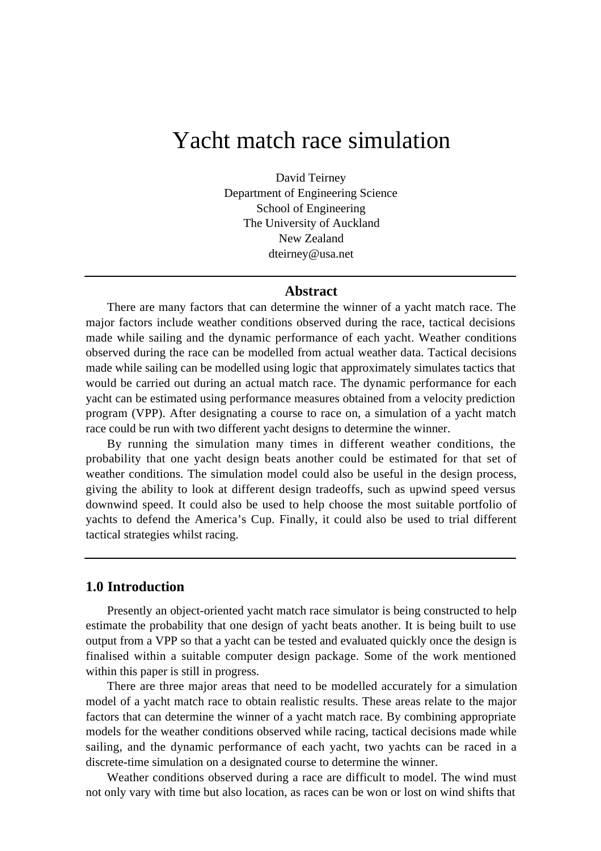# Yacht match race simulation

David Teirney Department of Engineering Science School of Engineering The University of Auckland New Zealand dteirney@usa.net

#### **Abstract**

There are many factors that can determine the winner of a yacht match race. The major factors include weather conditions observed during the race, tactical decisions made while sailing and the dynamic performance of each yacht. Weather conditions observed during the race can be modelled from actual weather data. Tactical decisions made while sailing can be modelled using logic that approximately simulates tactics that would be carried out during an actual match race. The dynamic performance for each yacht can be estimated using performance measures obtained from a velocity prediction program (VPP). After designating a course to race on, a simulation of a yacht match race could be run with two different yacht designs to determine the winner.

By running the simulation many times in different weather conditions, the probability that one yacht design beats another could be estimated for that set of weather conditions. The simulation model could also be useful in the design process, giving the ability to look at different design tradeoffs, such as upwind speed versus downwind speed. It could also be used to help choose the most suitable portfolio of yachts to defend the America's Cup. Finally, it could also be used to trial different tactical strategies whilst racing.

## **1.0 Introduction**

Presently an object-oriented yacht match race simulator is being constructed to help estimate the probability that one design of yacht beats another. It is being built to use output from a VPP so that a yacht can be tested and evaluated quickly once the design is finalised within a suitable computer design package. Some of the work mentioned within this paper is still in progress.

There are three major areas that need to be modelled accurately for a simulation model of a yacht match race to obtain realistic results. These areas relate to the major factors that can determine the winner of a yacht match race. By combining appropriate models for the weather conditions observed while racing, tactical decisions made while sailing, and the dynamic performance of each yacht, two yachts can be raced in a discrete-time simulation on a designated course to determine the winner.

Weather conditions observed during a race are difficult to model. The wind must not only vary with time but also location, as races can be won or lost on wind shifts that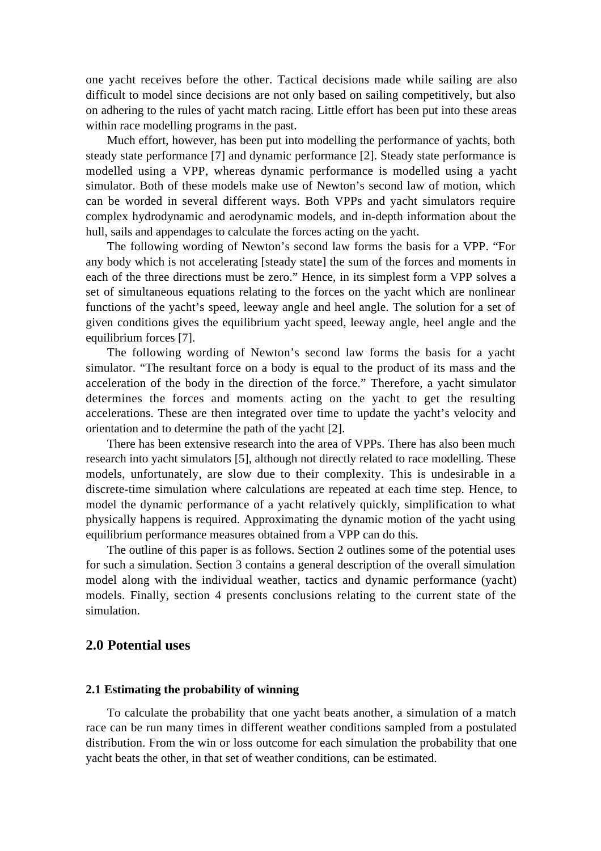one yacht receives before the other. Tactical decisions made while sailing are also difficult to model since decisions are not only based on sailing competitively, but also on adhering to the rules of yacht match racing. Little effort has been put into these areas within race modelling programs in the past.

Much effort, however, has been put into modelling the performance of yachts, both steady state performance [7] and dynamic performance [2]. Steady state performance is modelled using a VPP, whereas dynamic performance is modelled using a yacht simulator. Both of these models make use of Newton's second law of motion, which can be worded in several different ways. Both VPPs and yacht simulators require complex hydrodynamic and aerodynamic models, and in-depth information about the hull, sails and appendages to calculate the forces acting on the yacht.

The following wording of Newton's second law forms the basis for a VPP. "For any body which is not accelerating [steady state] the sum of the forces and moments in each of the three directions must be zero." Hence, in its simplest form a VPP solves a set of simultaneous equations relating to the forces on the yacht which are nonlinear functions of the yacht's speed, leeway angle and heel angle. The solution for a set of given conditions gives the equilibrium yacht speed, leeway angle, heel angle and the equilibrium forces [7].

The following wording of Newton's second law forms the basis for a yacht simulator. "The resultant force on a body is equal to the product of its mass and the acceleration of the body in the direction of the force." Therefore, a yacht simulator determines the forces and moments acting on the yacht to get the resulting accelerations. These are then integrated over time to update the yacht's velocity and orientation and to determine the path of the yacht [2].

There has been extensive research into the area of VPPs. There has also been much research into yacht simulators [5], although not directly related to race modelling. These models, unfortunately, are slow due to their complexity. This is undesirable in a discrete-time simulation where calculations are repeated at each time step. Hence, to model the dynamic performance of a yacht relatively quickly, simplification to what physically happens is required. Approximating the dynamic motion of the yacht using equilibrium performance measures obtained from a VPP can do this.

The outline of this paper is as follows. Section 2 outlines some of the potential uses for such a simulation. Section 3 contains a general description of the overall simulation model along with the individual weather, tactics and dynamic performance (yacht) models. Finally, section 4 presents conclusions relating to the current state of the simulation.

# **2.0 Potential uses**

#### **2.1 Estimating the probability of winning**

To calculate the probability that one yacht beats another, a simulation of a match race can be run many times in different weather conditions sampled from a postulated distribution. From the win or loss outcome for each simulation the probability that one yacht beats the other, in that set of weather conditions, can be estimated.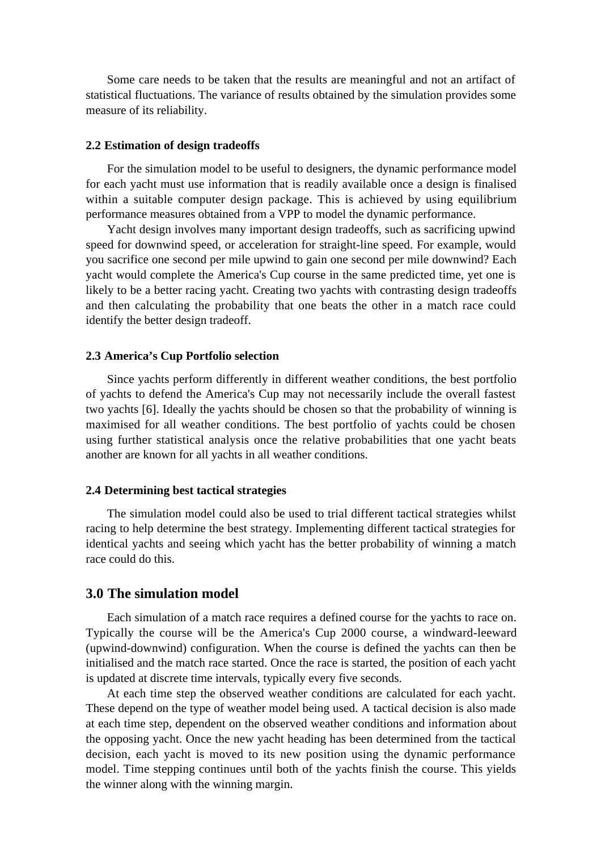Some care needs to be taken that the results are meaningful and not an artifact of statistical fluctuations. The variance of results obtained by the simulation provides some measure of its reliability.

#### **2.2 Estimation of design tradeoffs**

For the simulation model to be useful to designers, the dynamic performance model for each yacht must use information that is readily available once a design is finalised within a suitable computer design package. This is achieved by using equilibrium performance measures obtained from a VPP to model the dynamic performance.

Yacht design involves many important design tradeoffs, such as sacrificing upwind speed for downwind speed, or acceleration for straight-line speed. For example, would you sacrifice one second per mile upwind to gain one second per mile downwind? Each yacht would complete the America's Cup course in the same predicted time, yet one is likely to be a better racing yacht. Creating two yachts with contrasting design tradeoffs and then calculating the probability that one beats the other in a match race could identify the better design tradeoff.

#### **2.3 America's Cup Portfolio selection**

Since yachts perform differently in different weather conditions, the best portfolio of yachts to defend the America's Cup may not necessarily include the overall fastest two yachts [6]. Ideally the yachts should be chosen so that the probability of winning is maximised for all weather conditions. The best portfolio of yachts could be chosen using further statistical analysis once the relative probabilities that one yacht beats another are known for all yachts in all weather conditions.

#### **2.4 Determining best tactical strategies**

The simulation model could also be used to trial different tactical strategies whilst racing to help determine the best strategy. Implementing different tactical strategies for identical yachts and seeing which yacht has the better probability of winning a match race could do this.

# **3.0 The simulation model**

Each simulation of a match race requires a defined course for the yachts to race on. Typically the course will be the America's Cup 2000 course, a windward-leeward (upwind-downwind) configuration. When the course is defined the yachts can then be initialised and the match race started. Once the race is started, the position of each yacht is updated at discrete time intervals, typically every five seconds.

At each time step the observed weather conditions are calculated for each yacht. These depend on the type of weather model being used. A tactical decision is also made at each time step, dependent on the observed weather conditions and information about the opposing yacht. Once the new yacht heading has been determined from the tactical decision, each yacht is moved to its new position using the dynamic performance model. Time stepping continues until both of the yachts finish the course. This yields the winner along with the winning margin.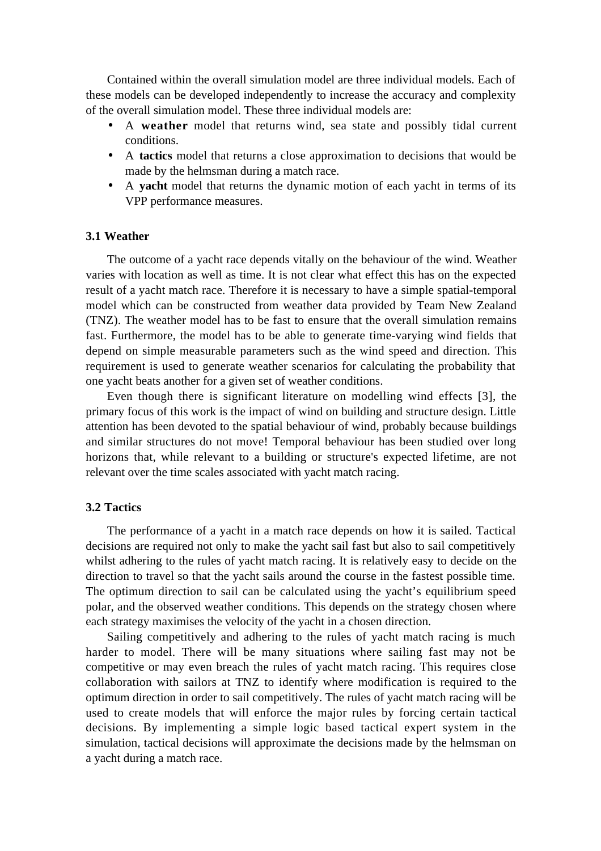Contained within the overall simulation model are three individual models. Each of these models can be developed independently to increase the accuracy and complexity of the overall simulation model. These three individual models are:

- A **weather** model that returns wind, sea state and possibly tidal current conditions.
- A **tactics** model that returns a close approximation to decisions that would be made by the helmsman during a match race.
- A **yacht** model that returns the dynamic motion of each yacht in terms of its VPP performance measures.

## **3.1 Weather**

The outcome of a yacht race depends vitally on the behaviour of the wind. Weather varies with location as well as time. It is not clear what effect this has on the expected result of a yacht match race. Therefore it is necessary to have a simple spatial-temporal model which can be constructed from weather data provided by Team New Zealand (TNZ). The weather model has to be fast to ensure that the overall simulation remains fast. Furthermore, the model has to be able to generate time-varying wind fields that depend on simple measurable parameters such as the wind speed and direction. This requirement is used to generate weather scenarios for calculating the probability that one yacht beats another for a given set of weather conditions.

Even though there is significant literature on modelling wind effects [3], the primary focus of this work is the impact of wind on building and structure design. Little attention has been devoted to the spatial behaviour of wind, probably because buildings and similar structures do not move! Temporal behaviour has been studied over long horizons that, while relevant to a building or structure's expected lifetime, are not relevant over the time scales associated with yacht match racing.

## **3.2 Tactics**

The performance of a yacht in a match race depends on how it is sailed. Tactical decisions are required not only to make the yacht sail fast but also to sail competitively whilst adhering to the rules of yacht match racing. It is relatively easy to decide on the direction to travel so that the yacht sails around the course in the fastest possible time. The optimum direction to sail can be calculated using the yacht's equilibrium speed polar, and the observed weather conditions. This depends on the strategy chosen where each strategy maximises the velocity of the yacht in a chosen direction.

Sailing competitively and adhering to the rules of yacht match racing is much harder to model. There will be many situations where sailing fast may not be competitive or may even breach the rules of yacht match racing. This requires close collaboration with sailors at TNZ to identify where modification is required to the optimum direction in order to sail competitively. The rules of yacht match racing will be used to create models that will enforce the major rules by forcing certain tactical decisions. By implementing a simple logic based tactical expert system in the simulation, tactical decisions will approximate the decisions made by the helmsman on a yacht during a match race.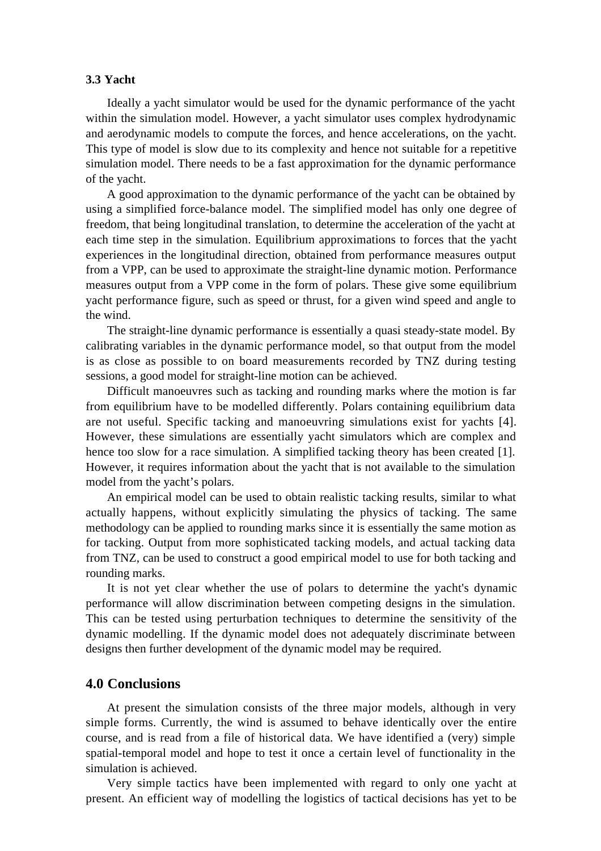## **3.3 Yacht**

Ideally a yacht simulator would be used for the dynamic performance of the yacht within the simulation model. However, a vacht simulator uses complex hydrodynamic and aerodynamic models to compute the forces, and hence accelerations, on the yacht. This type of model is slow due to its complexity and hence not suitable for a repetitive simulation model. There needs to be a fast approximation for the dynamic performance of the yacht.

A good approximation to the dynamic performance of the yacht can be obtained by using a simplified force-balance model. The simplified model has only one degree of freedom, that being longitudinal translation, to determine the acceleration of the yacht at each time step in the simulation. Equilibrium approximations to forces that the yacht experiences in the longitudinal direction, obtained from performance measures output from a VPP, can be used to approximate the straight-line dynamic motion. Performance measures output from a VPP come in the form of polars. These give some equilibrium yacht performance figure, such as speed or thrust, for a given wind speed and angle to the wind.

The straight-line dynamic performance is essentially a quasi steady-state model. By calibrating variables in the dynamic performance model, so that output from the model is as close as possible to on board measurements recorded by TNZ during testing sessions, a good model for straight-line motion can be achieved.

Difficult manoeuvres such as tacking and rounding marks where the motion is far from equilibrium have to be modelled differently. Polars containing equilibrium data are not useful. Specific tacking and manoeuvring simulations exist for yachts [4]. However, these simulations are essentially yacht simulators which are complex and hence too slow for a race simulation. A simplified tacking theory has been created [1]. However, it requires information about the yacht that is not available to the simulation model from the yacht's polars.

An empirical model can be used to obtain realistic tacking results, similar to what actually happens, without explicitly simulating the physics of tacking. The same methodology can be applied to rounding marks since it is essentially the same motion as for tacking. Output from more sophisticated tacking models, and actual tacking data from TNZ, can be used to construct a good empirical model to use for both tacking and rounding marks.

It is not yet clear whether the use of polars to determine the yacht's dynamic performance will allow discrimination between competing designs in the simulation. This can be tested using perturbation techniques to determine the sensitivity of the dynamic modelling. If the dynamic model does not adequately discriminate between designs then further development of the dynamic model may be required.

# **4.0 Conclusions**

At present the simulation consists of the three major models, although in very simple forms. Currently, the wind is assumed to behave identically over the entire course, and is read from a file of historical data. We have identified a (very) simple spatial-temporal model and hope to test it once a certain level of functionality in the simulation is achieved.

Very simple tactics have been implemented with regard to only one yacht at present. An efficient way of modelling the logistics of tactical decisions has yet to be